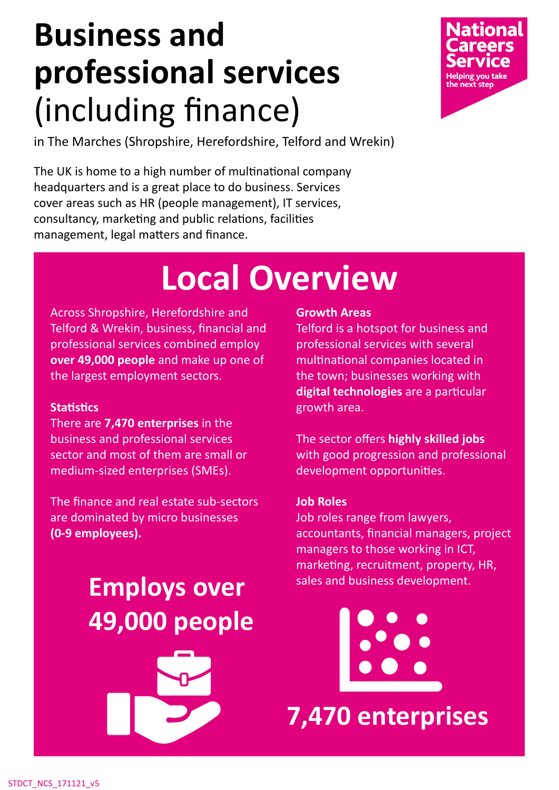## **Business and professional services** (including finance)



in The Marches (Shropshire, Herefordshire, Telford and Wrekin)

The UK is home to a high number of multinational company headquarters and is a great place to do business. Services cover areas such as HR (people management), IT services, consultancy, marketing and public relations, facilities management, legal matters and finance.

### **Local Overview**

Across Shropshire, Herefordshire and Telford & Wrekin, business, financial and professional services combined employ **over 49,000 people** and make up one of the largest employment sectors.

#### **Statistics**

There are **7,470 enterprises** in the business and professional services sector and most of them are small or medium-sized enterprises (SMEs).

The finance and real estate sub-sectors are dominated by micro businesses **(0-9 employees).**

#### Employs over sales and business development. **49,000 people**



#### **Growth Areas**

Telford is a hotspot for business and professional services with several multinational companies located in the town; businesses working with **digital technologies** are a particular growth area.

The sector offers **highly skilled jobs** with good progression and professional development opportunities.

#### **Job Roles**

Job roles range from lawyers, accountants, financial managers, project managers to those working in ICT, marketing, recruitment, property, HR,

**7,470 enterprises**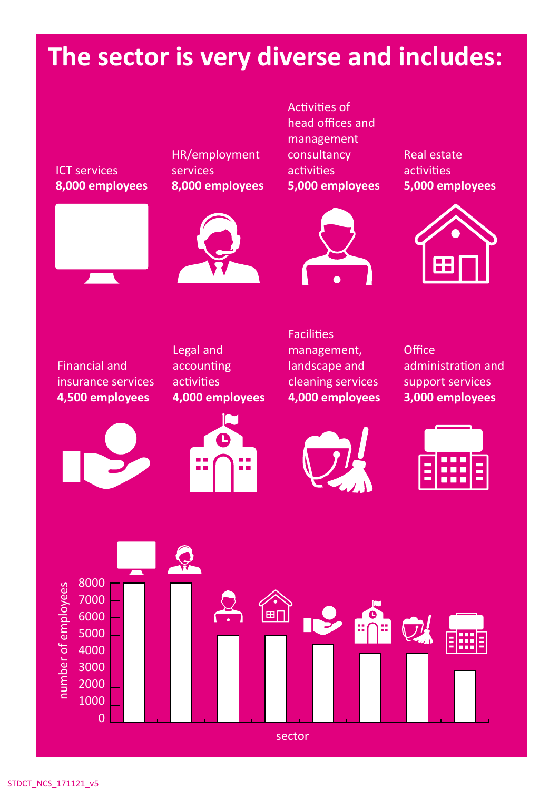#### **The sector is very diverse and includes:**

ICT services **8,000 employees**



HR/employment services **8,000 employees** 

Activities of head offices and management consultancy activities **5,000 employees**

Real estate activities **5,000 employees**









Financial and insurance services **4,500 employees**





**Facilities** management, landscape and cleaning services **4,000 employees**

**Office** administration and support services **3,000 employees**



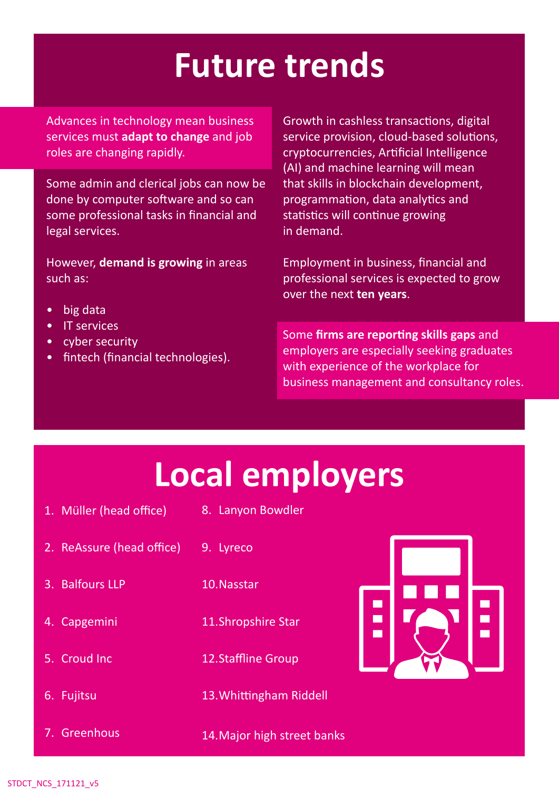## **Future trends**

Advances in technology mean business services must **adapt to change** and job roles are changing rapidly.

Some admin and clerical jobs can now be done by computer software and so can some professional tasks in financial and legal services.

However, **demand is growing** in areas such as:

- big data
- IT services
- cyber security
- fintech (financial technologies).

Growth in cashless transactions, digital service provision, cloud-based solutions, cryptocurrencies, Artificial Intelligence (AI) and machine learning will mean that skills in blockchain development, programmation, data analytics and statistics will continue growing in demand.

Employment in business, financial and professional services is expected to grow over the next **ten years**.

Some **firms are reporting skills gaps** and employers are especially seeking graduates with experience of the workplace for business management and consultancy roles.

### **Local employers**

- 1. Müller (head office) 8. Lanyon Bowdler
- 2. ReAssure (head office)
- 3. Balfours LLP
- 4. Capgemini
- 5. Croud Inc
- 6. Fujitsu
- 7. Greenhous
- 9. Lyreco
- 10.Nasstar
- 11.Shropshire Star
	- 12.Staffline Group
	- 13.Whittingham Riddell
- 14.Major high street banks

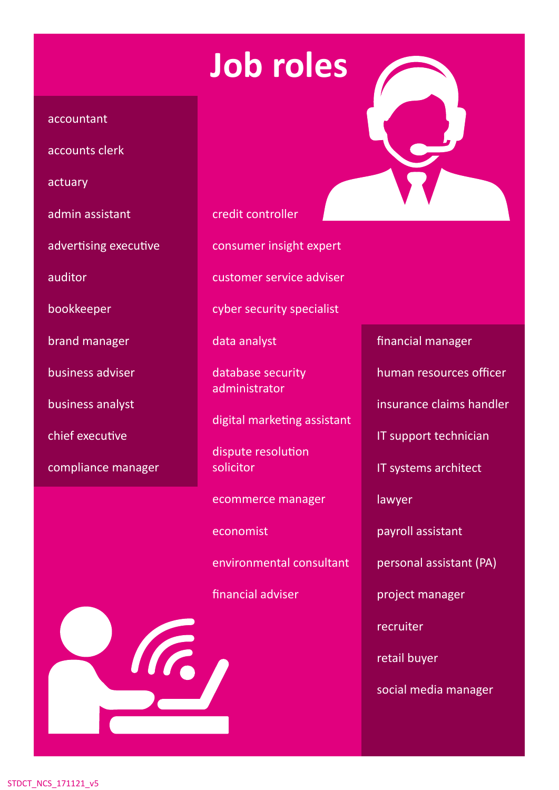## **Job roles**

#### accountant

accounts clerk

actuary

admin assistant

advertising executive

auditor

bookkeeper

brand manager

business adviser

business analyst

chief executive

compliance manager

credit controller

consumer insight expert

customer service adviser

cyber security specialist

data analyst

database security administrator

digital marketing assistant

dispute resolution solicitor

ecommerce manager

economist

III.

environmental consultant

financial adviser



financial manager

human resources officer

insurance claims handler

IT support technician

IT systems architect

lawyer

payroll assistant

personal assistant (PA)

project manager

recruiter

retail buyer

social media manager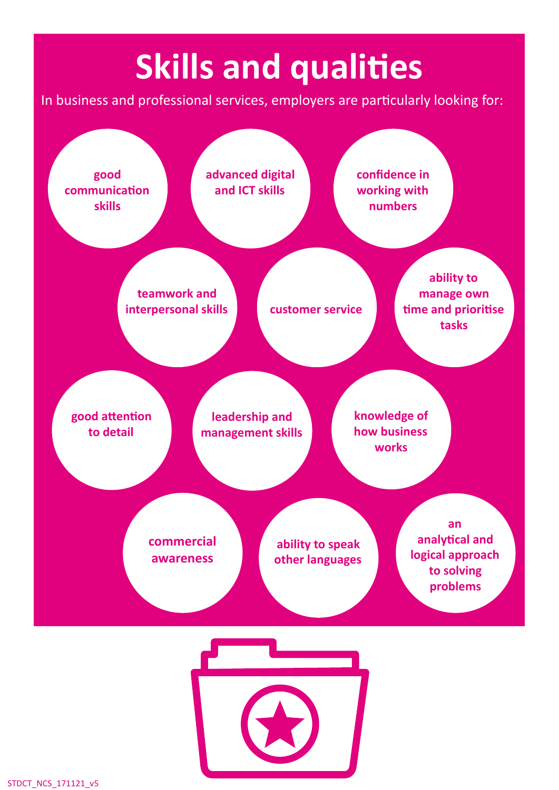# **Skills and qualities**

In business and professional services, employers are particularly looking for: